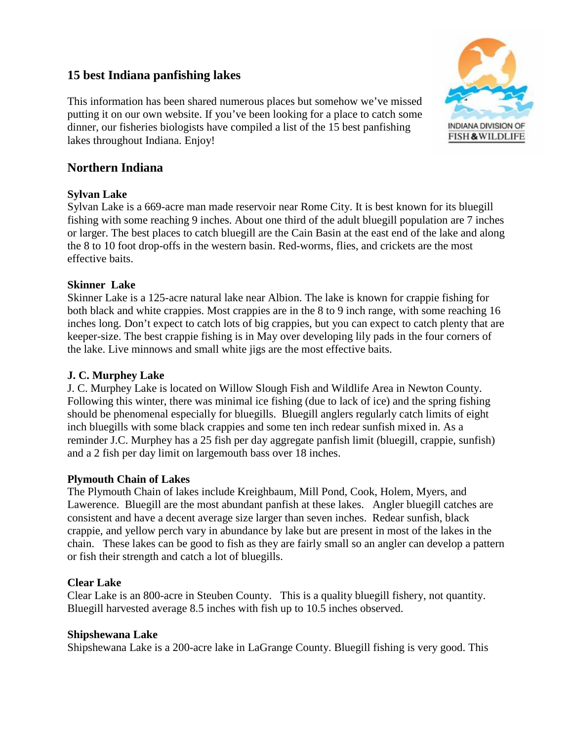# **15 best Indiana panfishing lakes**

This information has been shared numerous places but somehow we've missed putting it on our own website. If you've been looking for a place to catch some dinner, our fisheries biologists have compiled a list of the 15 best panfishing lakes throughout Indiana. Enjoy!



# **Northern Indiana**

## **Sylvan Lake**

Sylvan Lake is a 669-acre man made reservoir near Rome City. It is best known for its bluegill fishing with some reaching 9 inches. About one third of the adult bluegill population are 7 inches or larger. The best places to catch bluegill are the Cain Basin at the east end of the lake and along the 8 to 10 foot drop-offs in the western basin. Red-worms, flies, and crickets are the most effective baits.

## **Skinner Lake**

Skinner Lake is a 125-acre natural lake near Albion. The lake is known for crappie fishing for both black and white crappies. Most crappies are in the 8 to 9 inch range, with some reaching 16 inches long. Don't expect to catch lots of big crappies, but you can expect to catch plenty that are keeper-size. The best crappie fishing is in May over developing lily pads in the four corners of the lake. Live minnows and small white jigs are the most effective baits.

## **J. C. Murphey Lake**

J. C. Murphey Lake is located on Willow Slough Fish and Wildlife Area in Newton County. Following this winter, there was minimal ice fishing (due to lack of ice) and the spring fishing should be phenomenal especially for bluegills. Bluegill anglers regularly catch limits of eight inch bluegills with some black crappies and some ten inch redear sunfish mixed in. As a reminder J.C. Murphey has a 25 fish per day aggregate panfish limit (bluegill, crappie, sunfish) and a 2 fish per day limit on largemouth bass over 18 inches.

### **Plymouth Chain of Lakes**

The Plymouth Chain of lakes include Kreighbaum, Mill Pond, Cook, Holem, Myers, and Lawerence. Bluegill are the most abundant panfish at these lakes. Angler bluegill catches are consistent and have a decent average size larger than seven inches. Redear sunfish, black crappie, and yellow perch vary in abundance by lake but are present in most of the lakes in the chain. These lakes can be good to fish as they are fairly small so an angler can develop a pattern or fish their strength and catch a lot of bluegills.

### **Clear Lake**

Clear Lake is an 800-acre in Steuben County. This is a quality bluegill fishery, not quantity. Bluegill harvested average 8.5 inches with fish up to 10.5 inches observed.

### **Shipshewana Lake**

Shipshewana Lake is a 200-acre lake in LaGrange County. Bluegill fishing is very good. This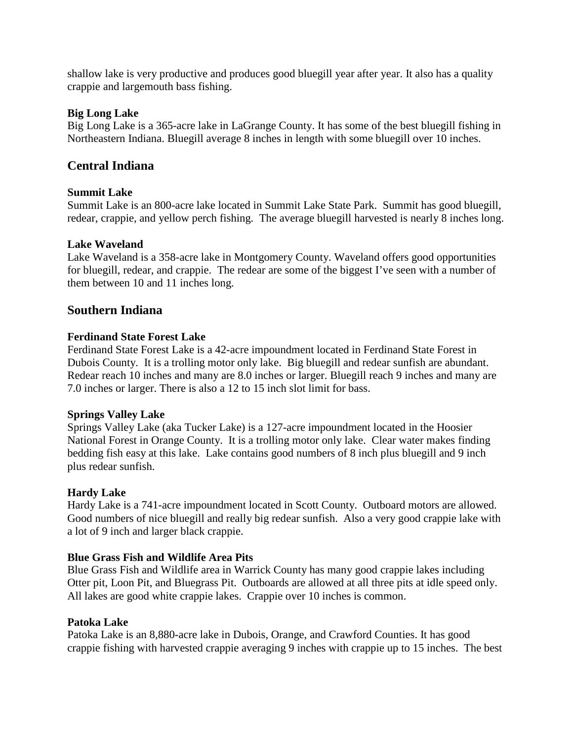shallow lake is very productive and produces good bluegill year after year. It also has a quality crappie and largemouth bass fishing.

#### **Big Long Lake**

Big Long Lake is a 365-acre lake in LaGrange County. It has some of the best bluegill fishing in Northeastern Indiana. Bluegill average 8 inches in length with some bluegill over 10 inches.

## **Central Indiana**

#### **Summit Lake**

Summit Lake is an 800-acre lake located in Summit Lake State Park. Summit has good bluegill, redear, crappie, and yellow perch fishing. The average bluegill harvested is nearly 8 inches long.

#### **Lake Waveland**

Lake Waveland is a 358-acre lake in Montgomery County. Waveland offers good opportunities for bluegill, redear, and crappie. The redear are some of the biggest I've seen with a number of them between 10 and 11 inches long.

### **Southern Indiana**

#### **Ferdinand State Forest Lake**

Ferdinand State Forest Lake is a 42-acre impoundment located in Ferdinand State Forest in Dubois County. It is a trolling motor only lake. Big bluegill and redear sunfish are abundant. Redear reach 10 inches and many are 8.0 inches or larger. Bluegill reach 9 inches and many are 7.0 inches or larger. There is also a 12 to 15 inch slot limit for bass.

#### **Springs Valley Lake**

Springs Valley Lake (aka Tucker Lake) is a 127-acre impoundment located in the Hoosier National Forest in Orange County. It is a trolling motor only lake. Clear water makes finding bedding fish easy at this lake. Lake contains good numbers of 8 inch plus bluegill and 9 inch plus redear sunfish.

#### **Hardy Lake**

Hardy Lake is a 741-acre impoundment located in Scott County. Outboard motors are allowed. Good numbers of nice bluegill and really big redear sunfish. Also a very good crappie lake with a lot of 9 inch and larger black crappie.

#### **Blue Grass Fish and Wildlife Area Pits**

Blue Grass Fish and Wildlife area in Warrick County has many good crappie lakes including Otter pit, Loon Pit, and Bluegrass Pit. Outboards are allowed at all three pits at idle speed only. All lakes are good white crappie lakes. Crappie over 10 inches is common.

#### **Patoka Lake**

Patoka Lake is an 8,880-acre lake in Dubois, Orange, and Crawford Counties. It has good crappie fishing with harvested crappie averaging 9 inches with crappie up to 15 inches. The best